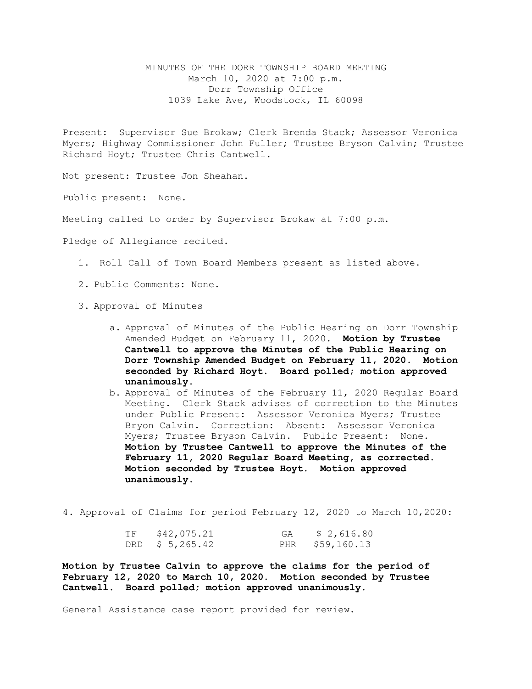MINUTES OF THE DORR TOWNSHIP BOARD MEETING March 10, 2020 at 7:00 p.m. Dorr Township Office 1039 Lake Ave, Woodstock, IL 60098

Present: Supervisor Sue Brokaw; Clerk Brenda Stack; Assessor Veronica Myers; Highway Commissioner John Fuller; Trustee Bryson Calvin; Trustee Richard Hoyt; Trustee Chris Cantwell.

Not present: Trustee Jon Sheahan.

Public present: None.

Meeting called to order by Supervisor Brokaw at 7:00 p.m.

Pledge of Allegiance recited.

- 1. Roll Call of Town Board Members present as listed above.
- 2. Public Comments: None.
- 3. Approval of Minutes
	- a. Approval of Minutes of the Public Hearing on Dorr Township Amended Budget on February 11, 2020. **Motion by Trustee Cantwell to approve the Minutes of the Public Hearing on Dorr Township Amended Budget on February 11, 2020. Motion seconded by Richard Hoyt. Board polled; motion approved unanimously.**
	- b. Approval of Minutes of the February 11, 2020 Regular Board Meeting. Clerk Stack advises of correction to the Minutes under Public Present: Assessor Veronica Myers; Trustee Bryon Calvin. Correction: Absent: Assessor Veronica Myers; Trustee Bryson Calvin. Public Present: None. **Motion by Trustee Cantwell to approve the Minutes of the February 11, 2020 Regular Board Meeting, as corrected. Motion seconded by Trustee Hoyt. Motion approved unanimously.**

4. Approval of Claims for period February 12, 2020 to March 10,2020:

| TF \$42,075.21  | GA | \$2,616.80      |
|-----------------|----|-----------------|
| DRD \$ 5,265.42 |    | PHR \$59,160.13 |

**Motion by Trustee Calvin to approve the claims for the period of February 12, 2020 to March 10, 2020. Motion seconded by Trustee Cantwell. Board polled; motion approved unanimously.**

General Assistance case report provided for review.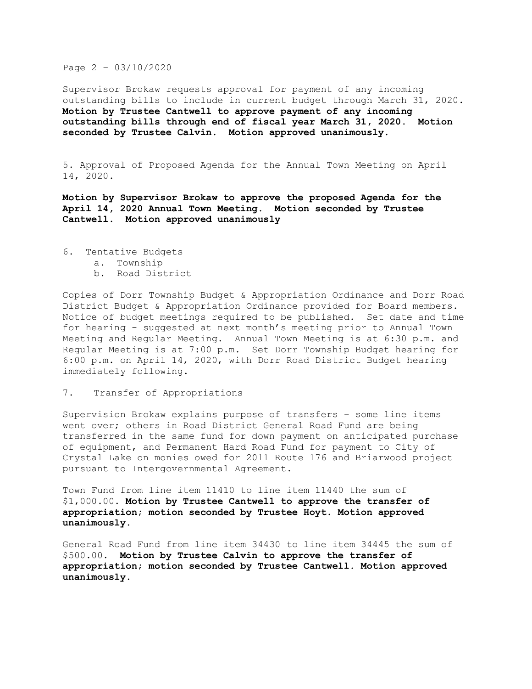## Page 2 – 03/10/2020

Supervisor Brokaw requests approval for payment of any incoming outstanding bills to include in current budget through March 31, 2020. **Motion by Trustee Cantwell to approve payment of any incoming outstanding bills through end of fiscal year March 31, 2020. Motion seconded by Trustee Calvin. Motion approved unanimously.**

5. Approval of Proposed Agenda for the Annual Town Meeting on April 14, 2020.

**Motion by Supervisor Brokaw to approve the proposed Agenda for the April 14, 2020 Annual Town Meeting. Motion seconded by Trustee Cantwell. Motion approved unanimously**

- 6. Tentative Budgets
	- a. Township
	- b. Road District

Copies of Dorr Township Budget & Appropriation Ordinance and Dorr Road District Budget & Appropriation Ordinance provided for Board members. Notice of budget meetings required to be published. Set date and time for hearing - suggested at next month's meeting prior to Annual Town Meeting and Regular Meeting. Annual Town Meeting is at 6:30 p.m. and Regular Meeting is at 7:00 p.m. Set Dorr Township Budget hearing for 6:00 p.m. on April 14, 2020, with Dorr Road District Budget hearing immediately following.

7. Transfer of Appropriations

Supervision Brokaw explains purpose of transfers – some line items went over; others in Road District General Road Fund are being transferred in the same fund for down payment on anticipated purchase of equipment, and Permanent Hard Road Fund for payment to City of Crystal Lake on monies owed for 2011 Route 176 and Briarwood project pursuant to Intergovernmental Agreement.

Town Fund from line item 11410 to line item 11440 the sum of \$1,000.00. **Motion by Trustee Cantwell to approve the transfer of appropriation; motion seconded by Trustee Hoyt. Motion approved unanimously.**

General Road Fund from line item 34430 to line item 34445 the sum of \$500.00. **Motion by Trustee Calvin to approve the transfer of appropriation; motion seconded by Trustee Cantwell. Motion approved unanimously.**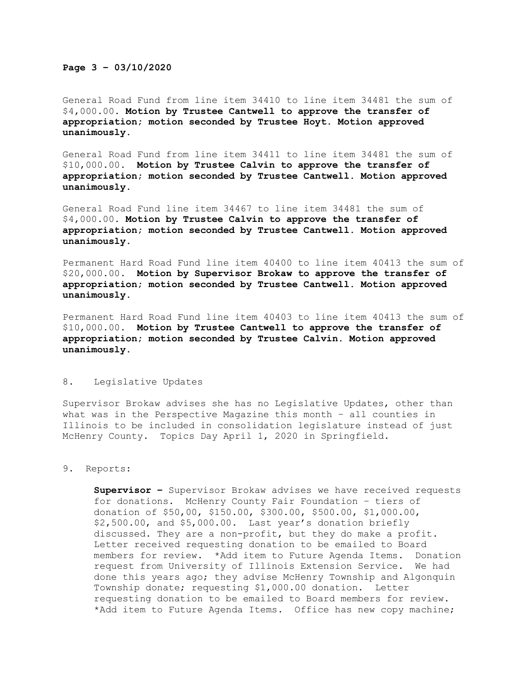## **Page 3 – 03/10/2020**

General Road Fund from line item 34410 to line item 34481 the sum of \$4,000.00. **Motion by Trustee Cantwell to approve the transfer of appropriation; motion seconded by Trustee Hoyt. Motion approved unanimously.**

General Road Fund from line item 34411 to line item 34481 the sum of \$10,000.00. **Motion by Trustee Calvin to approve the transfer of appropriation; motion seconded by Trustee Cantwell. Motion approved unanimously.**

General Road Fund line item 34467 to line item 34481 the sum of \$4,000.00. **Motion by Trustee Calvin to approve the transfer of appropriation; motion seconded by Trustee Cantwell. Motion approved unanimously.**

Permanent Hard Road Fund line item 40400 to line item 40413 the sum of \$20,000.00. **Motion by Supervisor Brokaw to approve the transfer of appropriation; motion seconded by Trustee Cantwell. Motion approved unanimously.**

Permanent Hard Road Fund line item 40403 to line item 40413 the sum of \$10,000.00. **Motion by Trustee Cantwell to approve the transfer of appropriation; motion seconded by Trustee Calvin. Motion approved unanimously.**

## 8. Legislative Updates

Supervisor Brokaw advises she has no Legislative Updates, other than what was in the Perspective Magazine this month – all counties in Illinois to be included in consolidation legislature instead of just McHenry County. Topics Day April 1, 2020 in Springfield.

## 9. Reports:

**Supervisor –** Supervisor Brokaw advises we have received requests for donations. McHenry County Fair Foundation – tiers of donation of \$50,00, \$150.00, \$300.00, \$500.00, \$1,000.00, \$2,500.00, and \$5,000.00. Last year's donation briefly discussed. They are a non-profit, but they do make a profit. Letter received requesting donation to be emailed to Board members for review. \*Add item to Future Agenda Items. Donation request from University of Illinois Extension Service. We had done this years ago; they advise McHenry Township and Algonquin Township donate; requesting \$1,000.00 donation. Letter requesting donation to be emailed to Board members for review. \*Add item to Future Agenda Items. Office has new copy machine;